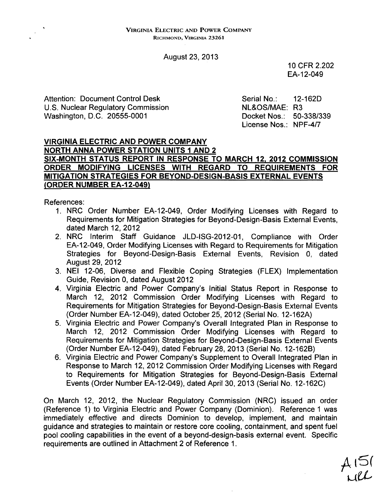August 23, 2013

10 CFR 2.202 EA-12-049

Attention: Document Control Desk Serial No.: 12-162D<br>U.S. Nuclear Regulatory Commission NE&OS/MAE: R3 U.S. Nuclear Regulatory Commission Washington, D.C. 20555-0001 Docket Nos.: 50-338/339

License Nos.: NPF-4/7

### VIRGINIA ELECTRIC **AND** POWER COMPANY NORTH **ANNA** POWER **STATION UNITS I AND** 2 **SIX-MONTH STATUS** REPORT **IN RESPONSE** TO MARCH **12,** 2012 **COMMISSION** ORDER **MODIFYING LICENSES** WITH REGARD TO **REQUIREMENTS** FOR **MITIGATION STRATEGIES** FOR **BEYOND-DESIGN-BASIS** EXTERNAL **EVENTS** (ORDER **NUMBER** EA-12-049)

References:

- 1. NRC Order Number EA-12-049, Order Modifying Licenses with Regard to Requirements for Mitigation Strategies for Beyond=Design-Basis External Events, dated March 12, 2012
- 2. NRC Interim Staff Guidance JLD-ISG-2012-01, Compliance with Order EA-12-049, Order Modifying Licenses with Regard to Requirements for Mitigation Strategies for Beyond-Design-Basis External Events, Revision 0, dated August 29, 2012
- 3. NEI 12-06, Diverse and Flexible Coping Strategies (FLEX) Implementation Guide, Revision 0, dated August 2012
- 4. Virginia Electric and Power Company's Initial Status Report in Response to March 12, 2012 Commission Order Modifying Licenses with Regard to Requirements for Mitigation Strategies for Beyond-Design-Basis External Events (Order Number EA-12-049), dated October 25, 2012 (Serial No. 12-162A)
- 5. Virginia Electric and Power Company's Overall Integrated Plan in Response to March 12, 2012 Commission Order Modifying Licenses with Regard to Requirements for Mitigation Strategies for Beyond-Design-Basis External Events (Order Number EA-12-049), dated February 28, 2013 (Serial No. 12-162B)
- 6. Virginia Electric and Power Company's Supplement to Overall Integrated Plan in Response to March 12, 2012 Commission Order Modifying Licenses with Regard to Requirements for Mitigation Strategies for Beyond-Design-Basis External Events (Order Number EA-12-049), dated April 30, 2013 (Serial No. 12-162C)

On March 12, 2012, the Nuclear Regulatory Commission (NRC) issued an order (Reference 1) to Virginia Electric and Power Company (Dominion). Reference 1 was immediately effective and directs Dominion to develop, implement, and maintain guidance and strategies to maintain or restore core cooling, containment, and spent fuel pool cooling capabilities in the event of a beyond-design-basis external event. Specific requirements are outlined in Attachment 2 of Reference 1.

 $A\cup$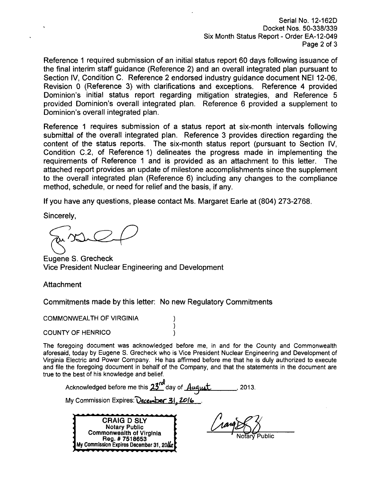Serial No. 12-162D Docket Nos. 50-338/339 Six Month Status Report - Order EA-12-049 Page 2 of 3

Reference 1 required submission of an initial status report 60 days following issuance of the final interim staff guidance (Reference 2) and an overall integrated plan pursuant to Section IV, Condition C. Reference 2 endorsed industry guidance document NEI 12-06, Revision 0 (Reference 3) with clarifications and exceptions. Reference 4 provided Dominion's initial status report regarding mitigation strategies, and Reference 5 provided Dominion's overall integrated plan. Reference 6 provided a supplement to Dominion's overall integrated plan.

Reference 1 requires submission of a status report at six-month intervals following submittal of the overall integrated plan. Reference 3 provides direction regarding the content of the status reports. The six-month status report (pursuant to Section IV, Condition C.2, of Reference 1) delineates the progress made in implementing the requirements of Reference 1 and is provided as an attachment to this letter. The attached report provides an update of milestone accomplishments since the supplement to the overall integrated plan (Reference 6) including any changes to the compliance method, schedule, or need for relief and the basis, if any.

If you have any questions, please contact Ms. Margaret Earle at (804) 273-2768.

Sincerely,

Eugene S. Grecheck Vice President Nuclear Engineering and Development

**Attachment** 

Commitments made by this letter: No new Regulatory Commitments

COMMONWEALTH OF VIRGINIA

COUNTY OF HENRICO

The foregoing document was acknowledged before me, in and for the County and Commonwealth aforesaid, today by Eugene S. Grecheck who is Vice President Nuclear Engineering and Development of Virginia Electric and Power Company. He has affirmed before me that he is duly authorized to execute and file the foregoing document in behalf of the Company, and that the statements in the document are true to the best of his knowledge and belief.

Acknowledged before me this  $23<sup>rd</sup>$  day of  $.44$ uquat. 2013.

My Commission Expires: December 31, 2016

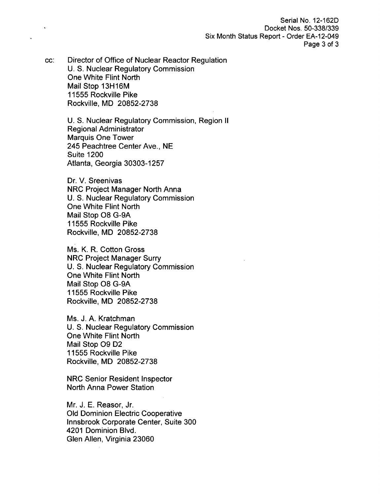Serial No. 12-162D Docket Nos. 50-338/339 Six Month Status Report - Order EA-12-049 Page 3 of 3

cc: Director of Office of Nuclear Reactor Regulation U. S. Nuclear Regulatory Commission One White Flint North Mail Stop 13H16M 11555 Rockville Pike Rockville, MD 20852-2738

> U. S. Nuclear Regulatory Commission, Region II Regional Administrator Marquis One Tower 245 Peachtree Center Ave., NE Suite 1200 Atlanta, Georgia 30303-1257

Dr. V. Sreenivas NRC Project Manager North Anna U. S. Nuclear Regulatory Commission One White Flint North Mail Stop 08 G-9A 11555 Rockville Pike Rockville, MD 20852-2738

Ms. K. R. Cotton Gross NRC Project Manager Surry U. S. Nuclear Regulatory Commission One White Flint North Mail Stop 08 G-9A 11555 Rockville Pike Rockville, MD 20852-2738

Ms. J. A. Kratchman U. S. Nuclear Regulatory Commission One White Flint North Mail Stop 09 D2 11555 Rockville Pike Rockville, MD 20852-2738

NRC Senior Resident Inspector North Anna Power Station

Mr. J. E. Reasor, Jr. Old Dominion Electric Cooperative Innsbrook Corporate Center, Suite 300 4201 Dominion Blvd. Glen Allen, Virginia 23060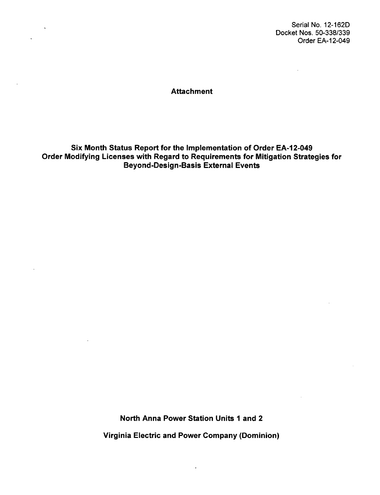Serial No. 12-162D Docket Nos. 50-338/339 Order EA-12-049

**Attachment** 

 $\mathbf{v}$ 

 $\ddot{\phantom{a}}$ 

 $\ddot{\phantom{a}}$ 

Six Month Status Report for the Implementation of Order EA-12-049 Order Modifying Licenses with Regard to Requirements for Mitigation Strategies for Beyond-Design-Basis External Events

> North Anna Power Station Units **1** and 2 Virginia Electric and Power Company (Dominion)

> > $\hat{\mathbf{r}}$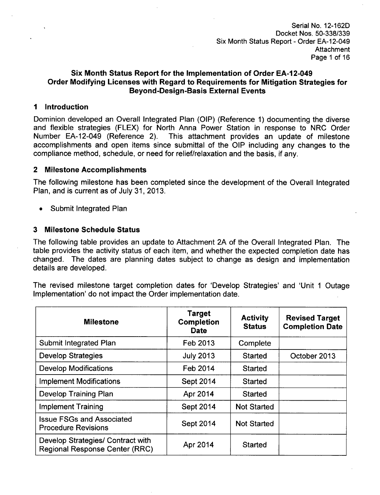Serial No. 12-162D Docket Nos. 50-338/339 Six Month Status Report - Order EA-12-049 Attachment Page 1 of 16

## Six Month Status Report for the Implementation of Order **EA-12-049** Order Modifying Licenses with Regard to Requirements for Mitigation Strategies for Beyond-Design-Basis External Events

#### **I** Introduction

Dominion developed an Overall Integrated Plan (OIP) (Reference 1) documenting the diverse and flexible strategies (FLEX) for North Anna Power Station in response to NRC Order Number EA-12-049 (Reference 2). This attachment provides an update of milestone accomplishments and open items since submittal of the OIP including any changes to the compliance method, schedule, or need for relief/relaxation and the basis, if any.

### 2 Milestone Accomplishments

The following milestone has been completed since the development of the Overall Integrated Plan, and is current as of July 31, 2013.

**0** Submit Integrated Plan

## **3** Milestone Schedule Status

The following table provides an update to Attachment 2A of the Overall Integrated Plan. The table provides the activity status of each item, and whether the expected completion date has changed. The dates are planning dates subject to change as design and implementation details are developed.

The revised milestone target completion dates for 'Develop Strategies' and 'Unit **1** Outage Implementation' do not impact the Order implementation date.

| <b>Milestone</b>                                                           | Target<br><b>Completion</b><br><b>Date</b> | <b>Activity</b><br><b>Status</b> | <b>Revised Target</b><br><b>Completion Date</b> |
|----------------------------------------------------------------------------|--------------------------------------------|----------------------------------|-------------------------------------------------|
| Submit Integrated Plan                                                     | Feb 2013                                   | Complete                         |                                                 |
| <b>Develop Strategies</b>                                                  | <b>July 2013</b>                           | <b>Started</b>                   | October 2013                                    |
| <b>Develop Modifications</b>                                               | Feb 2014                                   | <b>Started</b>                   |                                                 |
| <b>Implement Modifications</b>                                             | Sept 2014                                  | <b>Started</b>                   |                                                 |
| <b>Develop Training Plan</b>                                               | Apr 2014                                   | Started                          |                                                 |
| <b>Implement Training</b>                                                  | Sept 2014                                  | <b>Not Started</b>               |                                                 |
| <b>Issue FSGs and Associated</b><br><b>Procedure Revisions</b>             | Sept 2014                                  | <b>Not Started</b>               |                                                 |
| Develop Strategies/ Contract with<br><b>Regional Response Center (RRC)</b> | Apr 2014                                   | <b>Started</b>                   |                                                 |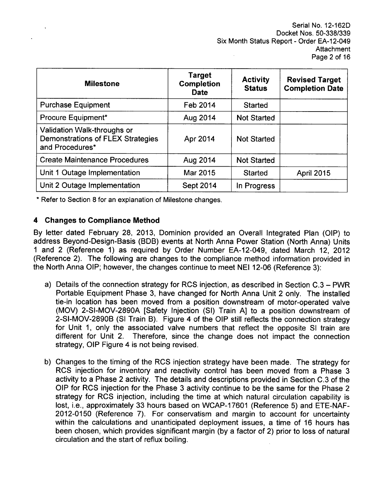Serial No. 12-162D Docket Nos. 50-338/339 Six Month Status Report - Order EA-12-049 **Attachment** Page 2 of 16

| <b>Milestone</b>                                                                           | Target<br><b>Completion</b><br><b>Date</b> | <b>Activity</b><br><b>Status</b> | <b>Revised Target</b><br><b>Completion Date</b> |
|--------------------------------------------------------------------------------------------|--------------------------------------------|----------------------------------|-------------------------------------------------|
| <b>Purchase Equipment</b>                                                                  | Feb 2014                                   | <b>Started</b>                   |                                                 |
| Procure Equipment*                                                                         | Aug 2014                                   | <b>Not Started</b>               |                                                 |
| Validation Walk-throughs or<br><b>Demonstrations of FLEX Strategies</b><br>and Procedures* | Apr 2014                                   | <b>Not Started</b>               |                                                 |
| <b>Create Maintenance Procedures</b>                                                       | Aug 2014                                   | <b>Not Started</b>               |                                                 |
| Unit 1 Outage Implementation                                                               | Mar 2015                                   | <b>Started</b>                   | <b>April 2015</b>                               |
| Unit 2 Outage Implementation                                                               | Sept 2014                                  | In Progress                      |                                                 |

\* Refer to Section 8 for an explanation of Milestone changes.

### 4 Changes to Compliance Method

By letter dated February 28, 2013, Dominion provided an Overall Integrated Plan (OIP) to address Beyond-Design-Basis (BDB) events at North Anna Power Station (North Anna) Units **1** and 2 (Reference 1) as required by Order Number EA-12-049, dated March 12, 2012 (Reference 2). The following are changes to the compliance method information provided in the North Anna OIP; however, the changes continue to meet NEI 12-06 (Reference 3):

- a) Details of the connection strategy for RCS injection, as described in Section C.3 PWR Portable Equipment Phase 3, have changed for North Anna Unit 2 only. The installed tie-in location has been moved from a position downstream of motor-operated valve (MOV) 2-SI-MOV-2890A [Safety Injection (SI) Train **A]** to a position downstream of 2-SI-MOV-2890B (SI Train B). Figure 4 of the OIP still reflects the connection strategy for Unit 1, only the associated valve numbers that reflect the opposite SI train are different for Unit 2. Therefore, since the change does not impact the connection strategy, OIP Figure 4 is not being revised.
- b) Changes to the timing of the RCS injection strategy have been made. The strategy for RCS injection for inventory and reactivity control has been moved from a Phase 3 activity to a Phase 2 activity. The details and descriptions provided in Section C.3 of the OIP for RCS injection for the Phase 3 activity continue to be the same for the Phase 2 strategy for RCS injection, including the time at which natural circulation capability is lost, i.e., approximately 33 hours based on WCAP-17601 (Reference 5) and ETE-NAF-2012-0150 (Reference 7). For conservatism and margin to account for uncertainty within the calculations and unanticipated deployment issues, a time of 16 hours has been chosen, which provides significant margin (by a factor of 2) prior to loss of natural circulation and the start of reflux boiling.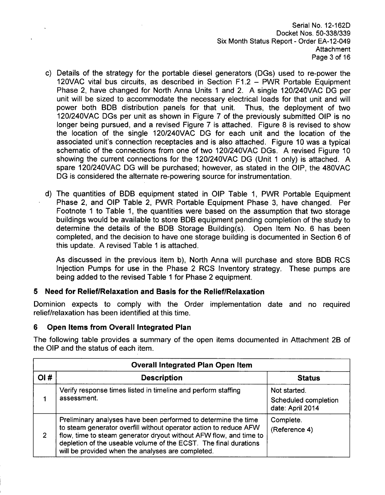Serial No. 12-162D Docket Nos. 50-338/339 Six Month Status Report - Order EA-12-049 Attachment Page 3 of 16

- c) Details of the strategy for the portable diesel generators (DGs) used to re-power the 120VAC vital bus circuits, as described in Section F1.2 - PWR Portable Equipment Phase 2, have changed for North Anna Units 1 and 2. A single 120/240VAC DG per unit will be sized to accommodate the necessary electrical loads for that unit and will power both BDB distribution panels for that unit. Thus, the deployment of two 120/240VAC DGs per unit as shown in Figure 7 of the previously submitted OIP is no longer being pursued, and a revised Figure 7 is attached. Figure 8 is revised to show the location of the single 120/240VAC DG for each unit and the location of the associated unit's connection receptacles and is also attached. Figure 10 was a typical schematic of the connections from one of two 120/240VAC DGs. A revised Figure 10 showing the current connections for the 120/240VAC DG (Unit 1 only) is attached. A spare 120/240VAC DG will be purchased; however, as stated in the OIP, the 480VAC DG is considered the alternate re-powering source for instrumentation.
- d) The quantities of BDB equipment stated in OIP Table 1, PWR Portable Equipment Phase 2, and OIP Table 2, PWR Portable Equipment Phase 3, have changed. Per Footnote **1** to Table 1, the quantities were based on the assumption that two storage buildings would be available to store BDB equipment pending completion of the study to determine the details of the BDB Storage Building(s). Open Item No. 6 has been completed, and the decision to have one storage building is documented in Section 6 of this update. A revised Table **1** is attached.

As discussed in the previous item b), North Anna will purchase and store BDB RCS Injection Pumps for use in the Phase 2 RCS Inventory strategy. These pumps are being added to the revised Table 1 for Phase 2 equipment.

# **5** Need for Relief/Relaxation and Basis for the Relief/Relaxation

Dominion expects to comply with the Order implementation date and no required relief/relaxation has been identified at this time.

## **6** Open Items from Overall Integrated Plan

The following table provides a summary of the open items documented in Attachment 28 of the OIP and the status of each item.

|     | <b>Overall Integrated Plan Open Item</b>                                                                                                                                                                                                                                                                                           |                                                          |  |  |  |  |  |  |  |
|-----|------------------------------------------------------------------------------------------------------------------------------------------------------------------------------------------------------------------------------------------------------------------------------------------------------------------------------------|----------------------------------------------------------|--|--|--|--|--|--|--|
| QI# | <b>Description</b>                                                                                                                                                                                                                                                                                                                 | <b>Status</b>                                            |  |  |  |  |  |  |  |
|     | Verify response times listed in timeline and perform staffing<br>assessment.                                                                                                                                                                                                                                                       | Not started.<br>Scheduled completion<br>date: April 2014 |  |  |  |  |  |  |  |
| 2   | Preliminary analyses have been performed to determine the time<br>to steam generator overfill without operator action to reduce AFW<br>flow, time to steam generator dryout without AFW flow, and time to<br>depletion of the useable volume of the ECST. The final durations<br>will be provided when the analyses are completed. | Complete.<br>(Reference 4)                               |  |  |  |  |  |  |  |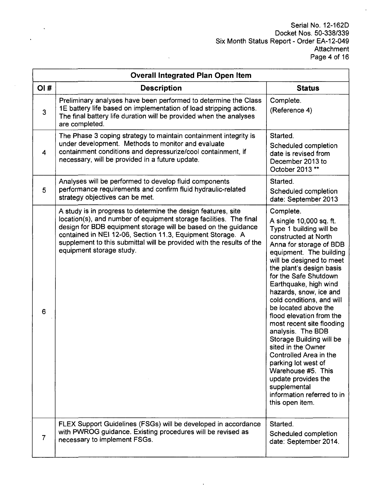$\bar{z}$ 

| <b>Overall Integrated Plan Open Item</b> |                                                                                                                                                                                                                                                                                                                                                                          |                                                                                                                                                                                                                                                                                                                                                                                                                                                                                                                                                                                                                                       |  |  |  |  |  |  |
|------------------------------------------|--------------------------------------------------------------------------------------------------------------------------------------------------------------------------------------------------------------------------------------------------------------------------------------------------------------------------------------------------------------------------|---------------------------------------------------------------------------------------------------------------------------------------------------------------------------------------------------------------------------------------------------------------------------------------------------------------------------------------------------------------------------------------------------------------------------------------------------------------------------------------------------------------------------------------------------------------------------------------------------------------------------------------|--|--|--|--|--|--|
| OI#                                      | <b>Description</b>                                                                                                                                                                                                                                                                                                                                                       | <b>Status</b>                                                                                                                                                                                                                                                                                                                                                                                                                                                                                                                                                                                                                         |  |  |  |  |  |  |
| $\mathbf{3}$                             | Preliminary analyses have been performed to determine the Class<br>1E battery life based on implementation of load stripping actions.<br>The final battery life duration will be provided when the analyses<br>are completed.                                                                                                                                            | Complete.<br>(Reference 4)                                                                                                                                                                                                                                                                                                                                                                                                                                                                                                                                                                                                            |  |  |  |  |  |  |
| 4                                        | The Phase 3 coping strategy to maintain containment integrity is<br>under development. Methods to monitor and evaluate<br>containment conditions and depressurize/cool containment, if<br>necessary, will be provided in a future update.                                                                                                                                | Started.<br>Scheduled completion<br>date is revised from<br>December 2013 to<br>October 2013 **                                                                                                                                                                                                                                                                                                                                                                                                                                                                                                                                       |  |  |  |  |  |  |
| 5                                        | Analyses will be performed to develop fluid components<br>performance requirements and confirm fluid hydraulic-related<br>strategy objectives can be met.                                                                                                                                                                                                                | Started.<br>Scheduled completion<br>date: September 2013                                                                                                                                                                                                                                                                                                                                                                                                                                                                                                                                                                              |  |  |  |  |  |  |
| 6                                        | A study is in progress to determine the design features, site<br>location(s), and number of equipment storage facilities. The final<br>design for BDB equipment storage will be based on the guidance<br>contained in NEI 12-06, Section 11.3, Equipment Storage. A<br>supplement to this submittal will be provided with the results of the<br>equipment storage study. | Complete.<br>A single 10,000 sq. ft.<br>Type 1 building will be<br>constructed at North<br>Anna for storage of BDB<br>equipment. The building<br>will be designed to meet<br>the plant's design basis<br>for the Safe Shutdown<br>Earthquake, high wind<br>hazards, snow, ice and<br>cold conditions, and will<br>be located above the<br>flood elevation from the<br>most recent site flooding<br>analysis. The BDB<br>Storage Building will be<br>sited in the Owner<br>Controlled Area in the<br>parking lot west of<br>Warehouse #5. This<br>update provides the<br>supplemental<br>information referred to in<br>this open item. |  |  |  |  |  |  |
| $\overline{7}$                           | FLEX Support Guidelines (FSGs) will be developed in accordance<br>with PWROG guidance. Existing procedures will be revised as<br>necessary to implement FSGs.                                                                                                                                                                                                            | Started.<br>Scheduled completion<br>date: September 2014.                                                                                                                                                                                                                                                                                                                                                                                                                                                                                                                                                                             |  |  |  |  |  |  |

 $\ddot{\phantom{0}}$ 

 $\bar{1}$ 

 $\ddot{\phantom{a}}$ 

 $\mathbf{r}$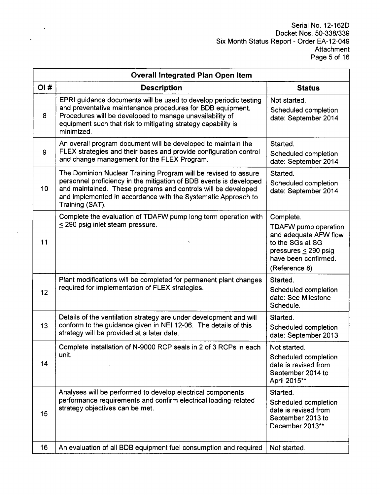$\hat{\mathcal{A}}$ 

|     | <b>Overall Integrated Plan Open Item</b>                                                                                                                                                                                                                                                   |                                                                                                                                                             |  |  |  |  |  |  |  |
|-----|--------------------------------------------------------------------------------------------------------------------------------------------------------------------------------------------------------------------------------------------------------------------------------------------|-------------------------------------------------------------------------------------------------------------------------------------------------------------|--|--|--|--|--|--|--|
| OI# | <b>Description</b>                                                                                                                                                                                                                                                                         | <b>Status</b>                                                                                                                                               |  |  |  |  |  |  |  |
| 8   | EPRI guidance documents will be used to develop periodic testing<br>and preventative maintenance procedures for BDB equipment.<br>Procedures will be developed to manage unavailability of<br>equipment such that risk to mitigating strategy capability is<br>minimized.                  | Not started.<br>Scheduled completion<br>date: September 2014                                                                                                |  |  |  |  |  |  |  |
| 9   | An overall program document will be developed to maintain the<br>FLEX strategies and their bases and provide configuration control<br>and change management for the FLEX Program.                                                                                                          | Started.<br>Scheduled completion<br>date: September 2014                                                                                                    |  |  |  |  |  |  |  |
| 10  | The Dominion Nuclear Training Program will be revised to assure<br>personnel proficiency in the mitigation of BDB events is developed<br>and maintained. These programs and controls will be developed<br>and implemented in accordance with the Systematic Approach to<br>Training (SAT). | Started.<br>Scheduled completion<br>date: September 2014                                                                                                    |  |  |  |  |  |  |  |
| 11  | Complete the evaluation of TDAFW pump long term operation with<br>$\leq$ 290 psig inlet steam pressure.                                                                                                                                                                                    | Complete.<br><b>TDAFW</b> pump operation<br>and adequate AFW flow<br>to the SGs at SG<br>pressures $\leq$ 290 psig<br>have been confirmed.<br>(Reference 8) |  |  |  |  |  |  |  |
| 12  | Plant modifications will be completed for permanent plant changes<br>required for implementation of FLEX strategies.                                                                                                                                                                       | Started.<br>Scheduled completion<br>date: See Milestone<br>Schedule.                                                                                        |  |  |  |  |  |  |  |
| 13  | Details of the ventilation strategy are under development and will<br>conform to the guidance given in NEI 12-06. The details of this<br>strategy will be provided at a later date.                                                                                                        | Started.<br>Scheduled completion<br>date: September 2013                                                                                                    |  |  |  |  |  |  |  |
| 14  | Complete installation of N-9000 RCP seals in 2 of 3 RCPs in each<br>unit.                                                                                                                                                                                                                  | Not started.<br>Scheduled completion<br>date is revised from<br>September 2014 to<br>April 2015**                                                           |  |  |  |  |  |  |  |
| 15  | Analyses will be performed to develop electrical components<br>performance requirements and confirm electrical loading-related<br>strategy objectives can be met.                                                                                                                          | Started.<br>Scheduled completion<br>date is revised from<br>September 2013 to<br>December 2013**                                                            |  |  |  |  |  |  |  |
| 16  | An evaluation of all BDB equipment fuel consumption and required                                                                                                                                                                                                                           | Not started.                                                                                                                                                |  |  |  |  |  |  |  |

 $\mathcal{A}^{\pm}$ 

 $\ddot{\phantom{a}}$ 

 $\sim$ 

 $\hat{\boldsymbol{\cdot}$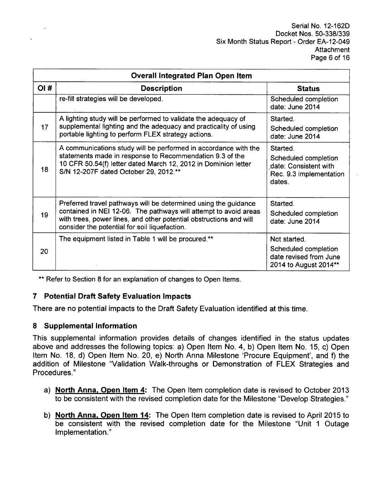|     | <b>Overall Integrated Plan Open Item</b>                                                                                                                                                                                                                   |                                                                                                |  |  |  |  |  |  |
|-----|------------------------------------------------------------------------------------------------------------------------------------------------------------------------------------------------------------------------------------------------------------|------------------------------------------------------------------------------------------------|--|--|--|--|--|--|
| OI# | <b>Description</b>                                                                                                                                                                                                                                         | <b>Status</b>                                                                                  |  |  |  |  |  |  |
|     | re-fill strategies will be developed.                                                                                                                                                                                                                      | Scheduled completion<br>date: June 2014                                                        |  |  |  |  |  |  |
| 17  | A lighting study will be performed to validate the adequacy of<br>supplemental lighting and the adequacy and practicality of using<br>portable lighting to perform FLEX strategy actions.                                                                  | Started.<br>Scheduled completion<br>date: June 2014                                            |  |  |  |  |  |  |
| 18  | A communications study will be performed in accordance with the<br>statements made in response to Recommendation 9.3 of the<br>10 CFR 50.54(f) letter dated March 12, 2012 in Dominion letter<br>S/N 12-207F dated October 29, 2012.**                     | Started.<br>Scheduled completion<br>date: Consistent with<br>Rec. 9.3 implementation<br>dates. |  |  |  |  |  |  |
| 19  | Preferred travel pathways will be determined using the guidance<br>contained in NEI 12-06. The pathways will attempt to avoid areas<br>with trees, power lines, and other potential obstructions and will<br>consider the potential for soil liquefaction. | Started.<br>Scheduled completion<br>date: June 2014                                            |  |  |  |  |  |  |
| 20  | The equipment listed in Table 1 will be procured.**                                                                                                                                                                                                        | Not started.<br>Scheduled completion<br>date revised from June<br>2014 to August 2014**        |  |  |  |  |  |  |

\*\* Refer to Section 8 for an explanation of changes to Open Items.

# **7** Potential Draft Safety Evaluation Impacts

There are no potential impacts to the Draft Safety Evaluation identified at this time.

# **8** Supplemental Information

This supplemental information provides details of changes identified in the status updates above and addresses the following topics: a) Open Item No. 4, b) Open Item No. 15, c) Open Item No. 18, d) Open Item No. 20, e) North Anna Milestone 'Procure Equipment', and f) the addition of Milestone "Validation Walk-throughs or Demonstration of FLEX Strategies and Procedures."

- a) North Anna, Open Item 4: The Open Item completion date is revised to October 2013 to be consistent with the revised completion date for the Milestone "Develop Strategies."
- b) North Anna, Open Item 14: The Open Item completion date is revised to April 2015 to be consistent with the revised completion date for the Milestone "Unit 1 Outage Implementation."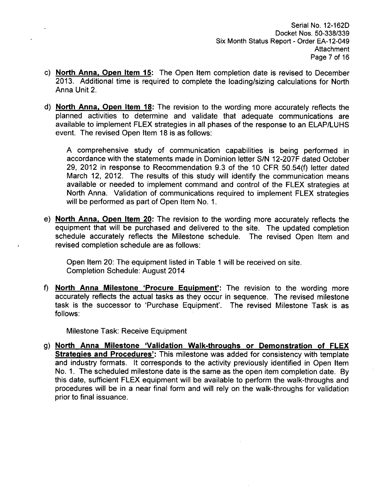Serial No. 12-162D Docket Nos. 50-338/339 Six Month Status Report - Order EA-12-049 Attachment Page 7 of 16

- c) North Anna, Open Item **15:** The Open Item completion date is revised to December 2013. Additional time is required to complete the loading/sizing calculations for North Anna Unit 2.
- **d)** North Anna, Open Item **18:** The revision to the wording more accurately reflects the planned activities to determine and validate that adequate communications are available to implement FLEX strategies in all phases of the response to an ELAP/LUHS event. The revised Open Item 18 is as follows:

A comprehensive study of communication capabilities is being performed in accordance with the statements made in Dominion letter **S/N** 12-207F dated October 29, 2012 in response to Recommendation 9.3 of the 10 CFR 50.54(f) letter dated March 12, 2012. The results of this study will identify the communication means available or needed to implement command and control of the FLEX strategies at North Anna. Validation of communications required to implement FLEX strategies will be performed as part of Open Item No. 1.

e) North Anna, Open Item 20: The revision to the wording more accurately reflects the equipment that will be purchased and delivered to the site. The updated completion schedule accurately reflects the Milestone schedule. The revised Open Item and revised completion schedule are as follows:

Open Item 20: The equipment listed in Table 1 will be received on site. Completion Schedule: August 2014

**f)** North Anna Milestone 'Procure Equipment': The revision to the wording more accurately reflects the actual tasks as they occur in sequence. The revised milestone task is the successor to 'Purchase Equipment'. The revised Milestone Task is as follows:

Milestone Task: Receive Equipment

 $\mathbf{I}$ 

g) North Anna Milestone 'Validation Walk-throughs or Demonstration of FLEX Strategies and Procedures': This milestone was added for consistency with template and industry formats. It corresponds to the activity previously identified in Open Item No. 1. The scheduled milestone date is the same as the open item completion date. By this date, sufficient FLEX equipment will be available to perform the walk-throughs and procedures will be in a near final form and will rely on the walk-throughs for validation prior to final issuance.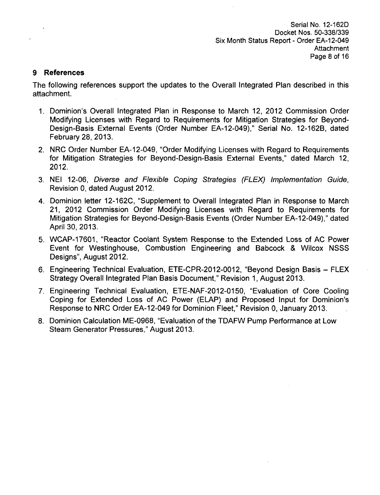### **9** References

The following references support the updates to the Overall Integrated Plan described in this attachment.

- **1.** Dominion's Overall Integrated Plan in Response to March 12, 2012 Commission Order Modifying Licenses with Regard to Requirements for Mitigation Strategies for Beyond-Design-Basis External Events (Order Number EA-12-049)," Serial No. 12-162B, dated February 28, 2013.
- 2. NRC Order Number EA-12-049, "Order Modifying Licenses with Regard to Requirements for Mitigation Strategies for Beyond-Design-Basis External Events," dated March 12, 2012.
- 3. NEI 12-06, *Diverse and Flexible Coping Strategies (FLEX)* Implementation *Guide,* Revision 0, dated August 2012.
- 4. Dominion letter 12-162C, "Supplement to Overall Integrated Plan in Response to March 21, 2012 Commission Order Modifying Licenses with Regard to Requirements for Mitigation Strategies for Beyond-Design-Basis Events (Order Number EA-12-049)," dated April 30, 2013.
- 5. WCAP-17601, "Reactor Coolant System Response to the Extended Loss of AC Power Event for Westinghouse, Combustion Engineering and Babcock & Wilcox NSSS Designs", August 2012.
- 6. Engineering Technical Evaluation, ETE-CPR-2012-0012, "Beyond Design Basis FLEX Strategy Overall Integrated Plan Basis Document," Revision 1, August 2013.
- 7. Engineering Technical Evaluation, ETE-NAF-2012-0150, "Evaluation of Core Cooling Coping for Extended Loss of AC Power (ELAP) and Proposed Input for Dominion's Response to NRC Order EA-12-049 for Dominion Fleet," Revision 0, January 2013.
- 8. Dominion Calculation ME-0968, "Evaluation of the TDAFW Pump Performance at Low Steam Generator Pressures," August 2013.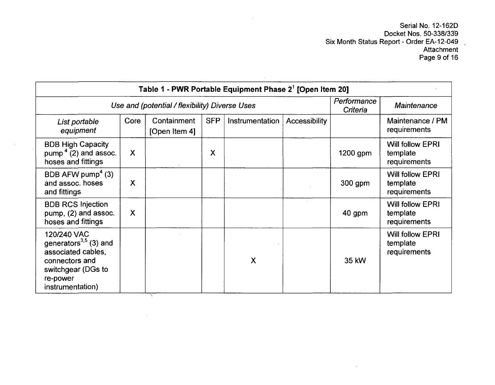Serial No. 12-162D Docket Nos. 50-338/339 Six Month Status Report - Order EA-12-049 Attachment Page 9 of 16

 $\Delta$ 

|                                                                                                                                          | Table 1 - PWR Portable Equipment Phase 2 <sup>1</sup> [Open Item 20] |                              |            |                 |               |          |                                                     |  |  |  |
|------------------------------------------------------------------------------------------------------------------------------------------|----------------------------------------------------------------------|------------------------------|------------|-----------------|---------------|----------|-----------------------------------------------------|--|--|--|
|                                                                                                                                          | Use and (potential / flexibility) Diverse Uses                       |                              |            |                 |               |          | <b>Maintenance</b>                                  |  |  |  |
| List portable<br>equipment                                                                                                               | Core                                                                 | Containment<br>[Open Item 4] | <b>SFP</b> | Instrumentation | Accessibility |          | Maintenance / PM<br>requirements                    |  |  |  |
| <b>BDB High Capacity</b><br>pump <sup>4</sup> $(2)$ and assoc.<br>hoses and fittings                                                     | $\boldsymbol{\mathsf{X}}$                                            |                              | X          |                 |               | 1200 gpm | <b>Will follow EPRI</b><br>template<br>requirements |  |  |  |
| BDB AFW pump <sup>4</sup> (3)<br>and assoc. hoses<br>and fittings                                                                        | X                                                                    |                              |            |                 |               | 300 gpm  | <b>Will follow EPRI</b><br>template<br>requirements |  |  |  |
| <b>BDB RCS Injection</b><br>pump, (2) and assoc.<br>hoses and fittings                                                                   | X                                                                    |                              |            |                 |               | 40 gpm   | <b>Will follow EPRI</b><br>template<br>requirements |  |  |  |
| 120/240 VAC<br>generators $^{3,5}$ (3) and<br>associated cables,<br>connectors and<br>switchgear (DGs to<br>re-power<br>instrumentation) |                                                                      |                              |            | X               |               | 35 kW    | Will follow EPRI<br>template<br>requirements        |  |  |  |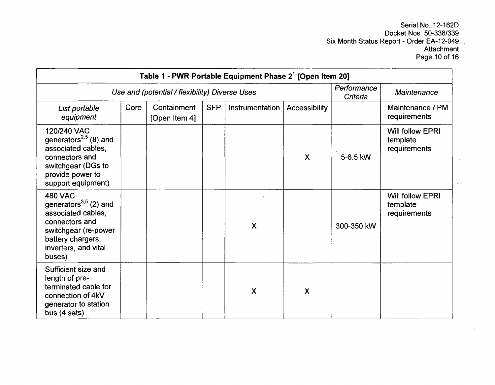Serial No. 12-162D Docket Nos. 50-338/339 Six Month Status Report - Order EA-12-049 Attachmen Page 10 of 16

| Table 1 - PWR Portable Equipment Phase 2 <sup>1</sup> [Open Item 20]                                                                                                 |                                                |                              |            |                           |                           |            |                                              |  |
|----------------------------------------------------------------------------------------------------------------------------------------------------------------------|------------------------------------------------|------------------------------|------------|---------------------------|---------------------------|------------|----------------------------------------------|--|
|                                                                                                                                                                      | Use and (potential / flexibility) Diverse Uses |                              |            |                           |                           |            |                                              |  |
| List portable<br>equipment                                                                                                                                           | Core                                           | Containment<br>[Open Item 4] | <b>SFP</b> | Instrumentation           | Accessibility             |            | Maintenance / PM<br>requirements             |  |
| 120/240 VAC<br>generators <sup>2,5</sup> (8) and<br>associated cables,<br>connectors and<br>switchgear (DGs to<br>provide power to<br>support equipment)             |                                                |                              |            |                           | $\boldsymbol{\mathsf{X}}$ | 5-6.5 kW   | Will follow EPRI<br>template<br>requirements |  |
| <b>480 VAC</b><br>generators $^{3,5}$ (2) and<br>associated cables,<br>connectors and<br>switchgear (re-power<br>battery chargers,<br>inverters, and vital<br>buses) |                                                |                              |            | $\boldsymbol{\mathsf{X}}$ |                           | 300-350 kW | Will follow EPRI<br>template<br>requirements |  |
| Sufficient size and<br>length of pre-<br>terminated cable for<br>connection of 4kV<br>generator to station<br>bus (4 sets)                                           |                                                |                              |            | X                         | $\boldsymbol{\mathsf{X}}$ |            |                                              |  |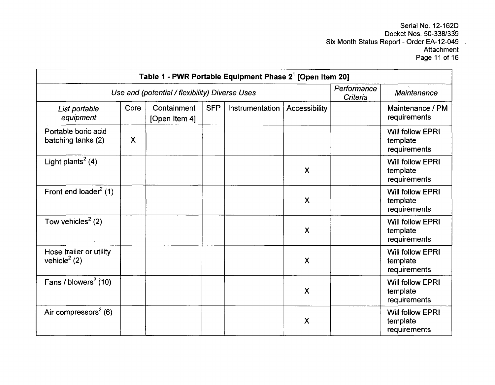Serial No. 12-162D Docket Nos. 50-338/339 Six Month Status Report - Order EA-12-049 **Attachment** Page 11 of 16

| Table 1 - PWR Portable Equipment Phase 2 <sup>1</sup> [Open Item 20] |      |                                                |            |                 |                           |                         |                                                     |
|----------------------------------------------------------------------|------|------------------------------------------------|------------|-----------------|---------------------------|-------------------------|-----------------------------------------------------|
|                                                                      |      | Use and (potential / flexibility) Diverse Uses |            |                 |                           | Performance<br>Criteria | <b>Maintenance</b>                                  |
| List portable<br>equipment                                           | Core | Containment<br>[Open Item 4]                   | <b>SFP</b> | Instrumentation | Accessibility             |                         | Maintenance / PM<br>requirements                    |
| Portable boric acid<br>batching tanks (2)                            | X    |                                                |            |                 |                           |                         | Will follow EPRI<br>template<br>requirements        |
| Light plants <sup>2</sup> (4)                                        |      |                                                |            |                 | $\boldsymbol{\mathsf{X}}$ |                         | <b>Will follow EPRI</b><br>template<br>requirements |
| Front end loader <sup>2</sup> (1)                                    |      |                                                |            |                 | $\boldsymbol{\mathsf{X}}$ |                         | <b>Will follow EPRI</b><br>template<br>requirements |
| Tow vehicles <sup>2</sup> (2)                                        |      |                                                |            |                 | $\mathsf{X}$              |                         | <b>Will follow EPRI</b><br>template<br>requirements |
| Hose trailer or utility<br>vehicle <sup>2</sup> (2)                  |      |                                                |            |                 | $\boldsymbol{\mathsf{X}}$ |                         | <b>Will follow EPRI</b><br>template<br>requirements |
| Fans / blowers $2$ (10)                                              |      |                                                |            |                 | $\overline{\mathsf{X}}$   |                         | Will follow EPRI<br>template<br>requirements        |
| Air compressors <sup>2</sup> (6)                                     |      |                                                |            |                 | $\boldsymbol{\mathsf{X}}$ |                         | <b>Will follow EPRI</b><br>template<br>requirements |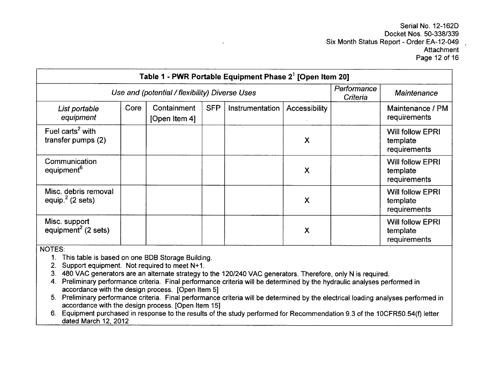Serial No. 12-162D Docket Nos. 50-338/339 Six Month Status Report - Order EA-12-049 **Attachment** Page 12 of 16

| Table 1 - PWR Portable Equipment Phase 2 <sup>1</sup> [Open Item 20] |                                                |                              |            |                        |               |  |                                                     |
|----------------------------------------------------------------------|------------------------------------------------|------------------------------|------------|------------------------|---------------|--|-----------------------------------------------------|
|                                                                      | Use and (potential / flexibility) Diverse Uses |                              |            |                        |               |  | <b>Maintenance</b>                                  |
| List portable<br>equipment                                           | Core                                           | Containment<br>[Open Item 4] | <b>SFP</b> | <b>Instrumentation</b> | Accessibility |  | Maintenance / PM<br>requirements                    |
| Fuel carts <sup>2</sup> with<br>transfer pumps (2)                   |                                                |                              |            |                        | X             |  | <b>Will follow EPRI</b><br>template<br>requirements |
| Communication<br>equipment <sup>6</sup>                              |                                                |                              |            |                        | X             |  | <b>Will follow EPRI</b><br>template<br>requirements |
| Misc. debris removal<br>equip. $2$ (2 sets)                          |                                                |                              |            |                        | X             |  | <b>Will follow EPRI</b><br>template<br>requirements |
| Misc. support<br>equipment <sup>2</sup> (2 sets)                     |                                                |                              |            |                        | X             |  | <b>Will follow EPRI</b><br>template<br>requirements |

NOTES:

1. This table is based on one BDB Storage Building.

2. Support equipment. Not required to meet **N+1.**

3. 480 VAC generators are an alternate strategy to the 120/240 VAC generators. Therefore, only N is required.

4. Preliminary performance criteria. Final performance criteria will be determined by the hydraulic analyses performed in accordance with the design process. [Open Item 5]

5. Preliminary performance criteria. Final performance criteria will be determined by the electrical loading analyses performed in accordance with the design process. [Open Item 15]

6. Equipment purchased in response to the results of the study performed for Recommendation 9.3 of the 1OCFR50.54(f) letter dated March 12, 2012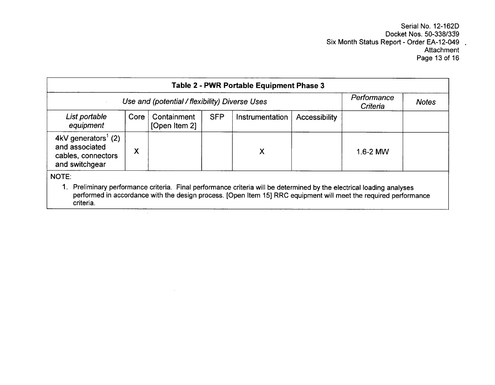Serial No. 12-162D Docket Nos. **50-338/359** Six Month Status Report - Order EA-12-049 Attachment Page 13 of 16

| Table 2 - PWR Portable Equipment Phase 3                                                  |                                                |                              |            |                                                                                                                                                                                                                                        |               |              |  |  |
|-------------------------------------------------------------------------------------------|------------------------------------------------|------------------------------|------------|----------------------------------------------------------------------------------------------------------------------------------------------------------------------------------------------------------------------------------------|---------------|--------------|--|--|
|                                                                                           | Use and (potential / flexibility) Diverse Uses |                              |            |                                                                                                                                                                                                                                        |               |              |  |  |
| List portable<br>equipment                                                                | Core                                           | Containment<br>[Open Item 2] | <b>SFP</b> | Instrumentation                                                                                                                                                                                                                        | Accessibility |              |  |  |
| 4kV generators <sup>1</sup> (2)<br>and associated<br>cables, connectors<br>and switchgear | X                                              |                              |            | X                                                                                                                                                                                                                                      |               | $1.6 - 2$ MW |  |  |
| NOTE:<br>criteria.                                                                        |                                                |                              |            | Preliminary performance criteria. Final performance criteria will be determined by the electrical loading analyses<br>performed in accordance with the design process. [Open Item 15] RRC equipment will meet the required performance |               |              |  |  |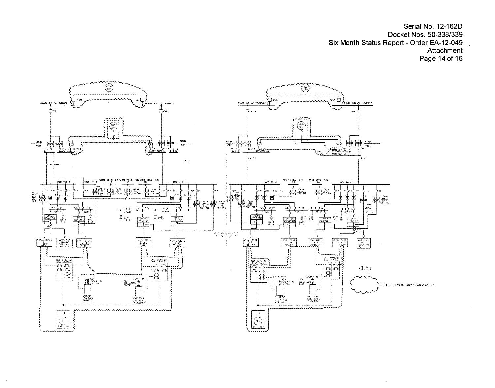Serial No. 12-162D Docket Nos. 50-338/339 Six Month Status Report - Order EA-12-049 Attachment Page 14 of 16

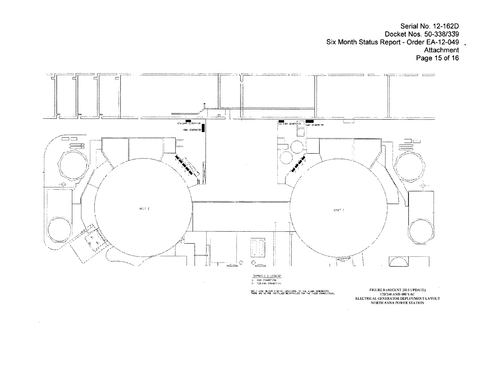Serial No. 12-162D Docket Nos. 50-338/339 Six Month Status Report - Order EA-12-049 Attachment Page 15 of 16



 $\sim$ 

SEE FERARE RO FOR STAGERO SCOATIONS, OF THE 45GOY CENERATORS.<br>THERE ARE NO MIE ENSTALLED RECENTACLES FOR THE 4160Y COMMICTIONS.

1 20:240 AND 480 VAC<br>ELECTRICAL GENERATOR DEPLOYMENT LAYOU<br>NORTH ANNA POWER STATION

 $\mathcal{L}_{\mathcal{A}}$